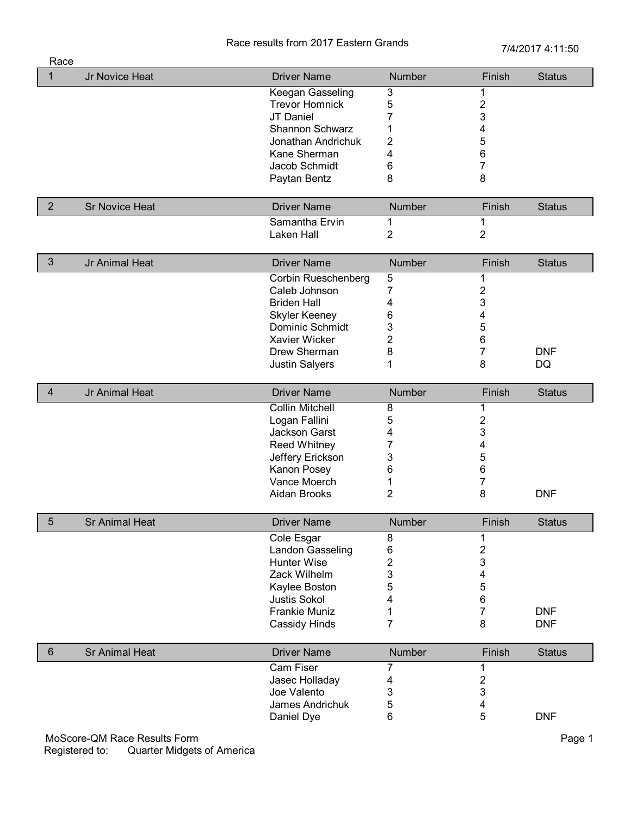## Race results from 2017 Eastern Grands<br>
7/4/2017 4:11:50

| Race           |                              |                        |                           |                |               |
|----------------|------------------------------|------------------------|---------------------------|----------------|---------------|
| $\mathbf{1}$   | Jr Novice Heat               | <b>Driver Name</b>     | Number                    | Finish         | <b>Status</b> |
|                |                              | Keegan Gasseling       | $\ensuremath{\mathsf{3}}$ | 1              |               |
|                |                              | <b>Trevor Homnick</b>  | 5                         | 2              |               |
|                |                              | JT Daniel              | 7                         | 3              |               |
|                |                              | Shannon Schwarz        | 1                         | 4              |               |
|                |                              | Jonathan Andrichuk     | 2                         | 5              |               |
|                |                              | Kane Sherman           | 4                         | 6              |               |
|                |                              | Jacob Schmidt          | 6                         | $\overline{7}$ |               |
|                |                              | Paytan Bentz           | 8                         | 8              |               |
| $\overline{2}$ | <b>Sr Novice Heat</b>        | <b>Driver Name</b>     | Number                    | Finish         | <b>Status</b> |
|                |                              | Samantha Ervin         | 1                         | 1              |               |
|                |                              | Laken Hall             | $\overline{2}$            | $\overline{2}$ |               |
|                |                              |                        |                           |                |               |
| $\mathfrak{Z}$ | Jr Animal Heat               | <b>Driver Name</b>     | Number                    | Finish         | <b>Status</b> |
|                |                              | Corbin Rueschenberg    | $\mathbf 5$               | 1              |               |
|                |                              | Caleb Johnson          | 7                         | $\overline{2}$ |               |
|                |                              | <b>Briden Hall</b>     | 4                         | 3              |               |
|                |                              | <b>Skyler Keeney</b>   | 6                         | 4              |               |
|                |                              | Dominic Schmidt        | 3                         | 5              |               |
|                |                              | Xavier Wicker          | 2                         | 6              |               |
|                |                              | Drew Sherman           | 8                         | 7              | <b>DNF</b>    |
|                |                              | <b>Justin Salyers</b>  | 1                         | 8              | DQ            |
| $\overline{4}$ | Jr Animal Heat               | <b>Driver Name</b>     | Number                    | Finish         | <b>Status</b> |
|                |                              | <b>Collin Mitchell</b> | 8                         | 1              |               |
|                |                              | Logan Fallini          | 5                         | 2              |               |
|                |                              | Jackson Garst          | 4                         | 3              |               |
|                |                              | <b>Reed Whitney</b>    | 7                         | 4              |               |
|                |                              | Jeffery Erickson       | 3                         | 5              |               |
|                |                              | Kanon Posey            | 6                         | 6              |               |
|                |                              | Vance Moerch           | 1                         | 7              |               |
|                |                              | Aidan Brooks           | 2                         | 8              | <b>DNF</b>    |
|                |                              |                        |                           |                |               |
| 5              | <b>Sr Animal Heat</b>        | <b>Driver Name</b>     | Number                    | Finish         | <b>Status</b> |
|                |                              | Cole Esgar             | 8                         | 1              |               |
|                |                              | Landon Gasseling       | 6                         | 2              |               |
|                |                              | Hunter Wise            | 2                         | 3              |               |
|                |                              | Zack Wilhelm           | 3                         | 4              |               |
|                |                              | Kaylee Boston          | 5                         | 5              |               |
|                |                              | <b>Justis Sokol</b>    | 4                         | 6              |               |
|                |                              | <b>Frankie Muniz</b>   | 1                         | 7              | <b>DNF</b>    |
|                |                              | Cassidy Hinds          | 7                         | 8              | <b>DNF</b>    |
| $6\phantom{1}$ | <b>Sr Animal Heat</b>        | <b>Driver Name</b>     | Number                    | Finish         | <b>Status</b> |
|                |                              | Cam Fiser              | 7                         | 1              |               |
|                |                              | Jasec Holladay         |                           | 2              |               |
|                |                              | Joe Valento            | 4                         | 3              |               |
|                |                              | James Andrichuk        | 3<br>5                    | 4              |               |
|                |                              | Daniel Dye             | 6                         | 5              | <b>DNF</b>    |
|                |                              |                        |                           |                |               |
|                | MoScore-QM Race Results Form |                        |                           |                | Page 1        |

Registered to: Quarter Midgets of America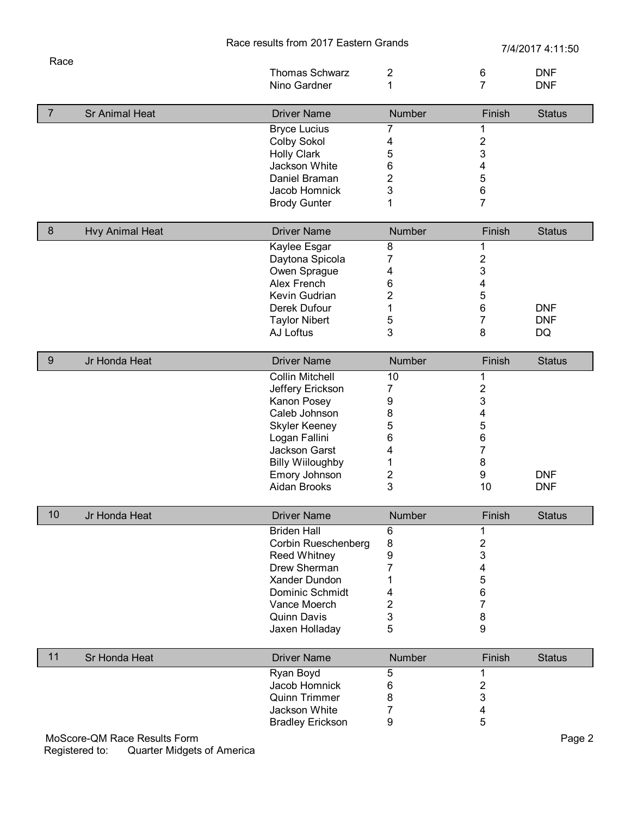|                |                        | Race results from 2017 Eastern Grands |                         | 7/4/2017 4:11:50             |               |
|----------------|------------------------|---------------------------------------|-------------------------|------------------------------|---------------|
| Race           |                        |                                       |                         |                              |               |
|                |                        | <b>Thomas Schwarz</b>                 | $\overline{\mathbf{c}}$ | $\,6$                        | <b>DNF</b>    |
|                |                        | Nino Gardner                          | 1                       | $\overline{7}$               | <b>DNF</b>    |
| $\overline{7}$ | <b>Sr Animal Heat</b>  | <b>Driver Name</b>                    | <b>Number</b>           | Finish                       | <b>Status</b> |
|                |                        | <b>Bryce Lucius</b>                   | 7                       | 1                            |               |
|                |                        | Colby Sokol                           | 4                       | $\overline{\mathbf{c}}$      |               |
|                |                        | <b>Holly Clark</b>                    | 5                       | 3                            |               |
|                |                        | Jackson White                         | 6                       | 4                            |               |
|                |                        | Daniel Braman                         | $\overline{2}$          | 5                            |               |
|                |                        | Jacob Homnick                         | 3                       | 6                            |               |
|                |                        | <b>Brody Gunter</b>                   | 1                       | $\overline{7}$               |               |
| $\bf 8$        | <b>Hvy Animal Heat</b> | <b>Driver Name</b>                    | Number                  | Finish                       | <b>Status</b> |
|                |                        | Kaylee Esgar                          | 8                       | 1                            |               |
|                |                        | Daytona Spicola                       | $\overline{7}$          | 2                            |               |
|                |                        | Owen Sprague                          | 4                       | 3                            |               |
|                |                        | Alex French                           | 6                       | 4                            |               |
|                |                        | Kevin Gudrian                         | $\overline{2}$          | 5                            |               |
|                |                        | Derek Dufour                          | 1                       | 6                            | <b>DNF</b>    |
|                |                        | <b>Taylor Nibert</b>                  | 5                       | 7                            | <b>DNF</b>    |
|                |                        | AJ Loftus                             | 3                       | 8                            | DQ            |
| $9\,$          | Jr Honda Heat          | <b>Driver Name</b>                    | Number                  | Finish                       | <b>Status</b> |
|                |                        | <b>Collin Mitchell</b>                | 10                      | 1                            |               |
|                |                        | Jeffery Erickson                      | 7                       | $\overline{\mathbf{c}}$      |               |
|                |                        | Kanon Posey                           | 9                       | 3                            |               |
|                |                        | Caleb Johnson                         | 8                       | 4                            |               |
|                |                        | <b>Skyler Keeney</b>                  | 5                       | 5                            |               |
|                |                        | Logan Fallini                         | 6                       | 6                            |               |
|                |                        | Jackson Garst                         | 4                       | 7                            |               |
|                |                        | <b>Billy Wiiloughby</b>               | 1                       | 8                            |               |
|                |                        | Emory Johnson                         | $\overline{\mathbf{c}}$ | 9                            | <b>DNF</b>    |
|                |                        | Aidan Brooks                          | 3                       | 10                           | <b>DNF</b>    |
| 10             | Jr Honda Heat          | <b>Driver Name</b>                    | <b>Number</b>           | Finish                       | <b>Status</b> |
|                |                        |                                       |                         |                              |               |
|                |                        | <b>Briden Hall</b>                    | 6                       | 1                            |               |
|                |                        | Corbin Rueschenberg                   | 8                       |                              |               |
|                |                        | <b>Reed Whitney</b>                   | 9                       | $\overline{\mathbf{c}}$<br>3 |               |
|                |                        | Drew Sherman                          | 7                       | 4                            |               |
|                |                        | Xander Dundon                         | 1                       | 5                            |               |
|                |                        | Dominic Schmidt                       | 4                       | 6                            |               |
|                |                        | Vance Moerch                          | $\mathbf{2}$            | 7                            |               |
|                |                        | <b>Quinn Davis</b>                    | 3                       | 8                            |               |
|                |                        | Jaxen Holladay                        | 5                       | 9                            |               |
| 11             | Sr Honda Heat          | <b>Driver Name</b>                    | <b>Number</b>           | Finish                       | <b>Status</b> |
|                |                        |                                       |                         |                              |               |
|                |                        | Ryan Boyd                             | 5                       | 1                            |               |
|                |                        | Jacob Homnick                         | 6                       | 2                            |               |
|                |                        | <b>Quinn Trimmer</b><br>Jackson White | 8<br>7                  | 3<br>4                       |               |

MoScore-QM Race Results Form Page 2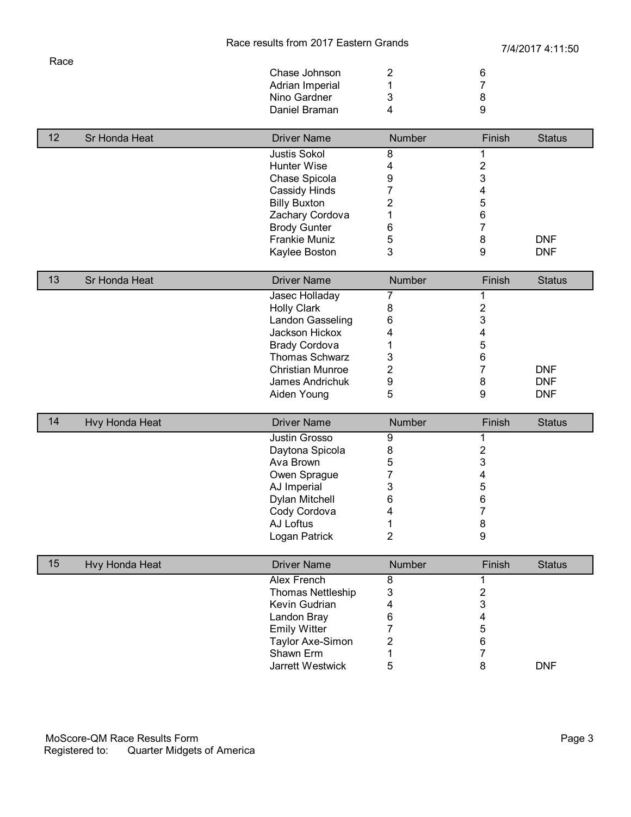| Chase Johnson   |   | 6 |
|-----------------|---|---|
| Adrian Imperial |   |   |
| Nino Gardner    |   |   |
| Daniel Braman   | 4 | q |
|                 |   |   |

| 12 | Sr Honda Heat | <b>Driver Name</b>   | <b>Number</b> | Finish | <b>Status</b> |
|----|---------------|----------------------|---------------|--------|---------------|
|    |               | <b>Justis Sokol</b>  |               |        |               |
|    |               | Hunter Wise          |               |        |               |
|    |               | Chase Spicola        |               | 3      |               |
|    |               | Cassidy Hinds        |               |        |               |
|    |               | <b>Billy Buxton</b>  |               | 5      |               |
|    |               | Zachary Cordova      |               | 6      |               |
|    |               | <b>Brody Gunter</b>  | 6             |        |               |
|    |               | <b>Frankie Muniz</b> | 5             | 8      | <b>DNF</b>    |
|    |               | Kaylee Boston        |               |        | <b>DNF</b>    |

| 13 | Sr Honda Heat | <b>Driver Name</b>      | <b>Number</b> | Finish | <b>Status</b> |
|----|---------------|-------------------------|---------------|--------|---------------|
|    |               | Jasec Holladay          |               |        |               |
|    |               | <b>Holly Clark</b>      |               |        |               |
|    |               | Landon Gasseling        | 6             |        |               |
|    |               | Jackson Hickox          |               |        |               |
|    |               | <b>Brady Cordova</b>    |               | 5      |               |
|    |               | Thomas Schwarz          | 3             | 6      |               |
|    |               | <b>Christian Munroe</b> |               |        | <b>DNF</b>    |
|    |               | James Andrichuk         | 9             | 8      | <b>DNF</b>    |
|    |               | Aiden Young             | 5             | 9      | <b>DNF</b>    |

| 14 | Hvy Honda Heat | <b>Driver Name</b> | <b>Number</b> | Finish | <b>Status</b> |
|----|----------------|--------------------|---------------|--------|---------------|
|    |                | Justin Grosso      |               |        |               |
|    |                | Daytona Spicola    | 8             |        |               |
|    |                | Ava Brown          | Э             | د      |               |
|    |                | Owen Sprague       |               |        |               |
|    |                | AJ Imperial        |               | C      |               |
|    |                | Dylan Mitchell     | 6             | 6      |               |
|    |                | Cody Cordova       |               |        |               |
|    |                | AJ Loftus          |               | 8      |               |
|    |                | Logan Patrick      |               | 9      |               |

| 15 | Hvy Honda Heat | <b>Driver Name</b>  | <b>Number</b> | Finish | <b>Status</b> |
|----|----------------|---------------------|---------------|--------|---------------|
|    |                | Alex French         |               |        |               |
|    |                | Thomas Nettleship   |               |        |               |
|    |                | Kevin Gudrian       |               |        |               |
|    |                | Landon Bray         |               |        |               |
|    |                | <b>Emily Witter</b> |               | 5      |               |
|    |                | Taylor Axe-Simon    |               | 6      |               |
|    |                | Shawn Erm           |               |        |               |
|    |                | Jarrett Westwick    |               |        | <b>DNF</b>    |

Race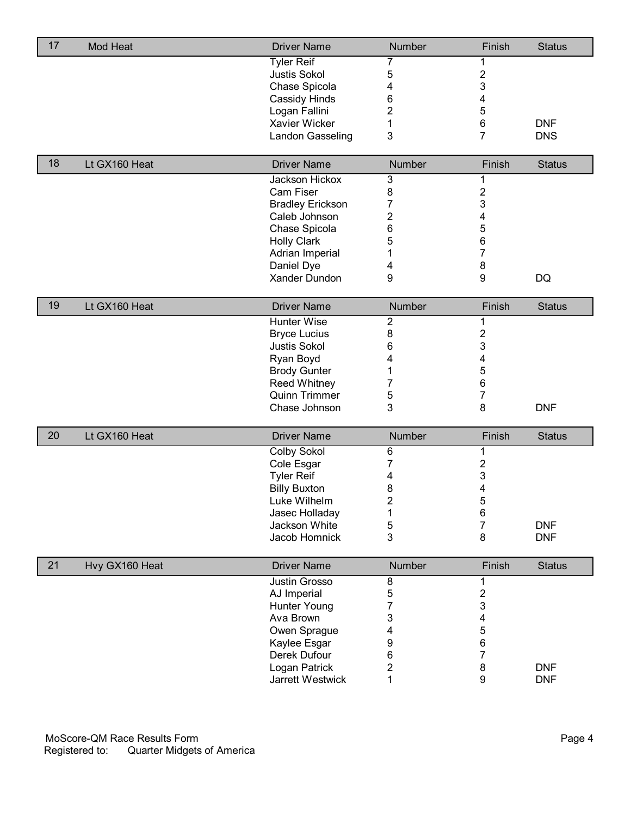| 17 | Mod Heat       | <b>Driver Name</b>                   | Number                    | Finish              | <b>Status</b> |
|----|----------------|--------------------------------------|---------------------------|---------------------|---------------|
|    |                | <b>Tyler Reif</b>                    | 7                         | 1                   |               |
|    |                | <b>Justis Sokol</b>                  | 5                         | $\overline{2}$      |               |
|    |                | Chase Spicola                        | 4                         | 3                   |               |
|    |                | Cassidy Hinds                        | 6                         | 4                   |               |
|    |                | Logan Fallini                        | 2                         | 5                   |               |
|    |                | Xavier Wicker                        | 1                         | 6                   | <b>DNF</b>    |
|    |                | Landon Gasseling                     | 3                         | 7                   | <b>DNS</b>    |
| 18 | Lt GX160 Heat  | <b>Driver Name</b>                   | Number                    | Finish              | <b>Status</b> |
|    |                | Jackson Hickox                       | $\ensuremath{\mathsf{3}}$ | 1                   |               |
|    |                | Cam Fiser                            | 8                         | $\overline{2}$      |               |
|    |                | <b>Bradley Erickson</b>              | 7                         | 3                   |               |
|    |                | Caleb Johnson                        | 2                         | 4                   |               |
|    |                | Chase Spicola                        | 6                         | 5                   |               |
|    |                | <b>Holly Clark</b>                   | 5                         | 6                   |               |
|    |                | Adrian Imperial                      | 1                         | 7                   |               |
|    |                | Daniel Dye                           | 4                         | 8                   |               |
|    |                | Xander Dundon                        | 9                         | 9                   | <b>DQ</b>     |
| 19 | Lt GX160 Heat  | <b>Driver Name</b>                   | Number                    | Finish              | <b>Status</b> |
|    |                | Hunter Wise                          |                           |                     |               |
|    |                | <b>Bryce Lucius</b>                  | $\boldsymbol{2}$<br>8     | 1<br>$\overline{2}$ |               |
|    |                | <b>Justis Sokol</b>                  |                           | 3                   |               |
|    |                |                                      | 6                         |                     |               |
|    |                | Ryan Boyd                            | 4                         | 4<br>5              |               |
|    |                | <b>Brody Gunter</b>                  | 1                         | 6                   |               |
|    |                | <b>Reed Whitney</b><br>Quinn Trimmer | 7<br>5                    | $\overline{7}$      |               |
|    |                | Chase Johnson                        | 3                         | 8                   | <b>DNF</b>    |
|    |                |                                      |                           |                     |               |
| 20 | Lt GX160 Heat  | <b>Driver Name</b>                   | Number                    | Finish              | <b>Status</b> |
|    |                | <b>Colby Sokol</b>                   | 6                         | 1                   |               |
|    |                | Cole Esgar                           | 7                         | $\mathbf 2$         |               |
|    |                | <b>Tyler Reif</b>                    | 4                         | 3                   |               |
|    |                | <b>Billy Buxton</b>                  | 8                         | 4                   |               |
|    |                | Luke Wilhelm                         | $\overline{\mathbf{c}}$   | $\mathbf 5$         |               |
|    |                | Jasec Holladay                       | 1                         | 6                   |               |
|    |                | Jackson White                        | 5                         | 7                   | <b>DNF</b>    |
|    |                | Jacob Homnick                        | 3                         | 8                   | <b>DNF</b>    |
| 21 | Hvy GX160 Heat | <b>Driver Name</b>                   | Number                    | Finish              | <b>Status</b> |
|    |                | Justin Grosso                        | $\overline{8}$            | 1                   |               |
|    |                | AJ Imperial                          | 5                         | $\mathbf 2$         |               |
|    |                | Hunter Young                         | 7                         | 3                   |               |
|    |                | Ava Brown                            | 3                         | 4                   |               |
|    |                | Owen Sprague                         | 4                         | 5                   |               |
|    |                | Kaylee Esgar                         | 9                         | 6                   |               |
|    |                | Derek Dufour                         | 6                         | 7                   |               |
|    |                | Logan Patrick                        | 2                         | 8                   | <b>DNF</b>    |
|    |                | Jarrett Westwick                     | 1                         | 9                   | <b>DNF</b>    |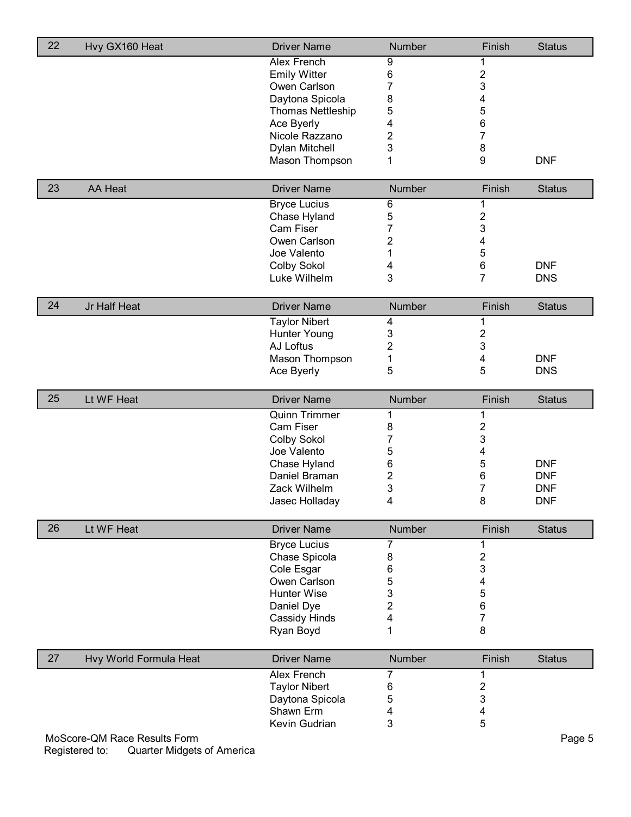| 22 | Hvy GX160 Heat                                                               | <b>Driver Name</b>       | Number         | Finish                  | <b>Status</b> |
|----|------------------------------------------------------------------------------|--------------------------|----------------|-------------------------|---------------|
|    |                                                                              | Alex French              | 9              | 1                       |               |
|    |                                                                              | <b>Emily Witter</b>      | 6              | $\overline{\mathbf{c}}$ |               |
|    |                                                                              | Owen Carlson             | 7              | 3                       |               |
|    |                                                                              | Daytona Spicola          | 8              | 4                       |               |
|    |                                                                              | <b>Thomas Nettleship</b> | 5              | 5                       |               |
|    |                                                                              | Ace Byerly               | 4              | 6                       |               |
|    |                                                                              | Nicole Razzano           | 2              | $\overline{7}$          |               |
|    |                                                                              | Dylan Mitchell           | 3              | 8                       |               |
|    |                                                                              | Mason Thompson           | 1              | 9                       | <b>DNF</b>    |
|    |                                                                              |                          |                |                         |               |
| 23 | <b>AA Heat</b>                                                               | <b>Driver Name</b>       | Number         | Finish                  | <b>Status</b> |
|    |                                                                              | <b>Bryce Lucius</b>      | 6              | 1                       |               |
|    |                                                                              | Chase Hyland             | 5              | $\mathbf 2$             |               |
|    |                                                                              | Cam Fiser                | 7              | 3                       |               |
|    |                                                                              | Owen Carlson             | $\overline{2}$ | 4                       |               |
|    |                                                                              | Joe Valento              | 1              | 5                       |               |
|    |                                                                              | <b>Colby Sokol</b>       | 4              | 6<br>$\overline{7}$     | <b>DNF</b>    |
|    |                                                                              | Luke Wilhelm             | 3              |                         | <b>DNS</b>    |
| 24 | Jr Half Heat                                                                 | <b>Driver Name</b>       | Number         | Finish                  | <b>Status</b> |
|    |                                                                              | <b>Taylor Nibert</b>     | 4              | 1                       |               |
|    |                                                                              | <b>Hunter Young</b>      | 3              | $\mathbf 2$             |               |
|    |                                                                              | AJ Loftus                | $\overline{2}$ | 3                       |               |
|    |                                                                              | Mason Thompson           | 1              | 4                       | <b>DNF</b>    |
|    |                                                                              | Ace Byerly               | 5              | 5                       | <b>DNS</b>    |
|    |                                                                              |                          |                |                         |               |
| 25 | Lt WF Heat                                                                   | <b>Driver Name</b>       | Number         | Finish                  | <b>Status</b> |
|    |                                                                              | <b>Quinn Trimmer</b>     | 1              | 1                       |               |
|    |                                                                              | Cam Fiser                | 8              | 2                       |               |
|    |                                                                              | <b>Colby Sokol</b>       | 7              | 3                       |               |
|    |                                                                              | Joe Valento              | 5              | 4                       |               |
|    |                                                                              | Chase Hyland             | 6              | 5                       | <b>DNF</b>    |
|    |                                                                              | Daniel Braman            | 2              | 6                       | <b>DNF</b>    |
|    |                                                                              | Zack Wilhelm             | 3              | 7                       | <b>DNF</b>    |
|    |                                                                              | Jasec Holladay           | 4              | 8                       | <b>DNF</b>    |
| 26 | Lt WF Heat                                                                   | <b>Driver Name</b>       | Number         | Finish                  | <b>Status</b> |
|    |                                                                              | <b>Bryce Lucius</b>      | 7              | 1                       |               |
|    |                                                                              | Chase Spicola            | 8              | $\mathbf 2$             |               |
|    |                                                                              | Cole Esgar               | 6              | 3                       |               |
|    |                                                                              | Owen Carlson             | 5              | 4                       |               |
|    |                                                                              | Hunter Wise              | 3              | 5                       |               |
|    |                                                                              | Daniel Dye               | $\overline{2}$ | 6                       |               |
|    |                                                                              | Cassidy Hinds            | 4              | $\overline{7}$          |               |
|    |                                                                              | Ryan Boyd                | 1              | 8                       |               |
|    |                                                                              |                          |                |                         |               |
| 27 | Hvy World Formula Heat                                                       | <b>Driver Name</b>       | Number         | Finish                  | <b>Status</b> |
|    |                                                                              | <b>Alex French</b>       | 7              | 1                       |               |
|    |                                                                              | <b>Taylor Nibert</b>     | 6              | $\mathbf 2$             |               |
|    |                                                                              | Daytona Spicola          | 5              | 3                       |               |
|    |                                                                              | Shawn Erm                | 4              | 4                       |               |
|    |                                                                              | Kevin Gudrian            | 3              | 5                       |               |
|    | MoScore-QM Race Results Form<br>Registered to:<br>Quarter Midgets of America |                          |                |                         | Page 5        |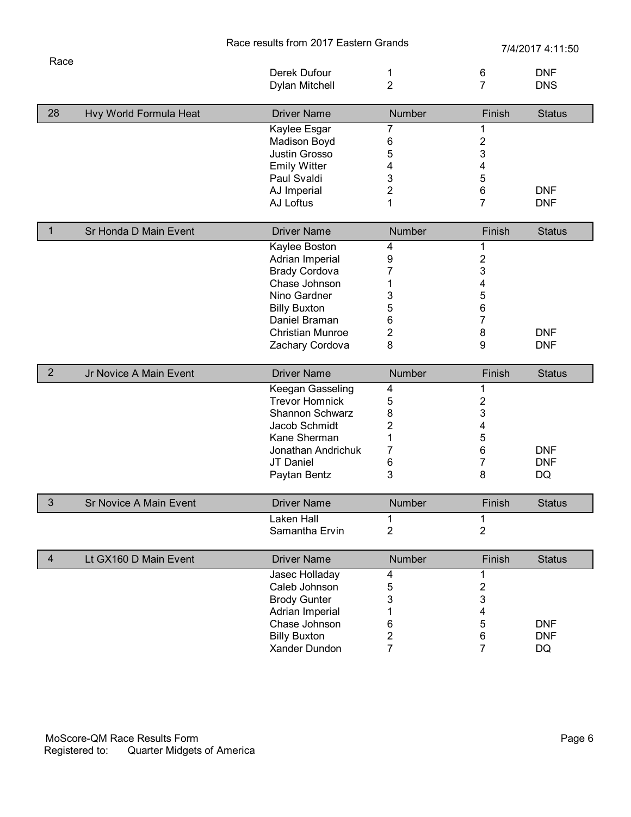|                |                               |                                                                                                                                                                                 | Race results from 2017 Eastern Grands                      |                                                                              | 7/4/2017 4:11:50               |  |
|----------------|-------------------------------|---------------------------------------------------------------------------------------------------------------------------------------------------------------------------------|------------------------------------------------------------|------------------------------------------------------------------------------|--------------------------------|--|
| Race           |                               | Derek Dufour<br>Dylan Mitchell                                                                                                                                                  | 1<br>$\overline{2}$                                        | 6<br>$\overline{7}$                                                          | <b>DNF</b><br><b>DNS</b>       |  |
| 28             | Hvy World Formula Heat        | <b>Driver Name</b>                                                                                                                                                              | Number                                                     | Finish                                                                       | <b>Status</b>                  |  |
|                |                               | Kaylee Esgar<br>Madison Boyd<br>Justin Grosso<br><b>Emily Witter</b><br>Paul Svaldi<br>AJ Imperial<br>AJ Loftus                                                                 | 7<br>6<br>5<br>4<br>3<br>2<br>1                            | 1<br>$\overline{\mathbf{c}}$<br>3<br>4<br>5<br>6<br>7                        | <b>DNF</b><br><b>DNF</b>       |  |
|                |                               |                                                                                                                                                                                 |                                                            |                                                                              |                                |  |
| $\mathbf{1}$   | Sr Honda D Main Event         | <b>Driver Name</b>                                                                                                                                                              | Number                                                     | Finish                                                                       | <b>Status</b>                  |  |
|                |                               | Kaylee Boston<br>Adrian Imperial<br><b>Brady Cordova</b><br>Chase Johnson<br>Nino Gardner<br><b>Billy Buxton</b><br>Daniel Braman<br><b>Christian Munroe</b><br>Zachary Cordova | 4<br>9<br>7<br>1<br>3<br>5<br>6<br>2<br>8                  | 1<br>$\overline{\mathbf{c}}$<br>3<br>4<br>5<br>6<br>$\overline{7}$<br>8<br>9 | <b>DNF</b><br><b>DNF</b>       |  |
| $\overline{2}$ | Jr Novice A Main Event        | <b>Driver Name</b>                                                                                                                                                              | Number                                                     | Finish                                                                       | <b>Status</b>                  |  |
|                |                               | Keegan Gasseling<br><b>Trevor Homnick</b><br>Shannon Schwarz<br>Jacob Schmidt<br>Kane Sherman<br>Jonathan Andrichuk<br>JT Daniel<br>Paytan Bentz                                | 4<br>5<br>8<br>$\overline{\mathbf{c}}$<br>1<br>7<br>6<br>3 | 1<br>$\overline{\mathbf{c}}$<br>3<br>4<br>5<br>6<br>7<br>8                   | <b>DNF</b><br><b>DNF</b><br>DQ |  |
| $\mathfrak{S}$ | <b>Sr Novice A Main Event</b> | <b>Driver Name</b>                                                                                                                                                              | Number                                                     | Finish                                                                       | <b>Status</b>                  |  |
|                |                               | Laken Hall<br>Samantha Ervin                                                                                                                                                    | 1<br>$\overline{2}$                                        | 1<br>$\overline{2}$                                                          |                                |  |
| $\overline{4}$ | Lt GX160 D Main Event         | <b>Driver Name</b>                                                                                                                                                              | Number                                                     | Finish                                                                       | <b>Status</b>                  |  |
|                |                               | Jasec Holladay<br>Caleb Johnson<br><b>Brody Gunter</b><br>Adrian Imperial<br>Chase Johnson<br><b>Billy Buxton</b><br>Xander Dundon                                              | 4<br>5<br>3<br>1<br>6<br>2<br>7                            | 1<br>$\overline{\mathbf{c}}$<br>3<br>4<br>5<br>6<br>$\overline{7}$           | <b>DNF</b><br><b>DNF</b><br>DQ |  |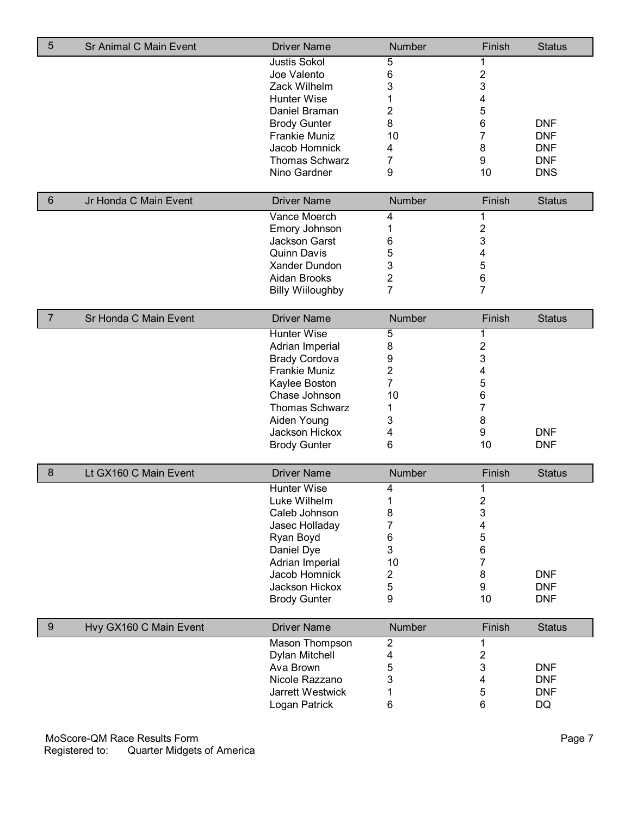| 5              | Sr Animal C Main Event | <b>Driver Name</b>      | Number           | Finish                  | <b>Status</b> |
|----------------|------------------------|-------------------------|------------------|-------------------------|---------------|
|                |                        | <b>Justis Sokol</b>     | 5                | 1                       |               |
|                |                        | Joe Valento             | 6                | $\overline{\mathbf{c}}$ |               |
|                |                        | Zack Wilhelm            | 3                | 3                       |               |
|                |                        | Hunter Wise             | 1                | 4                       |               |
|                |                        | Daniel Braman           | 2                | 5                       |               |
|                |                        | <b>Brody Gunter</b>     | 8                | $\,6\,$                 | <b>DNF</b>    |
|                |                        | <b>Frankie Muniz</b>    | 10               | 7                       | <b>DNF</b>    |
|                |                        | Jacob Homnick           | 4                | 8                       | <b>DNF</b>    |
|                |                        | <b>Thomas Schwarz</b>   | 7                | 9                       | <b>DNF</b>    |
|                |                        | Nino Gardner            | 9                | 10                      | <b>DNS</b>    |
|                |                        |                         |                  |                         |               |
| 6              | Jr Honda C Main Event  | <b>Driver Name</b>      | Number           | Finish                  | <b>Status</b> |
|                |                        | Vance Moerch            | 4                | 1                       |               |
|                |                        | Emory Johnson           | 1                | 2                       |               |
|                |                        | Jackson Garst           | 6                | 3                       |               |
|                |                        | <b>Quinn Davis</b>      | 5                | 4                       |               |
|                |                        | Xander Dundon           | 3                | 5                       |               |
|                |                        | Aidan Brooks            | $\overline{2}$   | $\,6$                   |               |
|                |                        | <b>Billy Wiiloughby</b> | 7                | $\overline{7}$          |               |
| $\overline{7}$ | Sr Honda C Main Event  | <b>Driver Name</b>      | Number           | Finish                  | <b>Status</b> |
|                |                        | Hunter Wise             | 5                | 1                       |               |
|                |                        | Adrian Imperial         | 8                | $\mathbf 2$             |               |
|                |                        | <b>Brady Cordova</b>    | 9                | 3                       |               |
|                |                        | <b>Frankie Muniz</b>    | $\overline{2}$   | 4                       |               |
|                |                        | Kaylee Boston           | 7                | 5                       |               |
|                |                        | Chase Johnson           | 10               | 6                       |               |
|                |                        | <b>Thomas Schwarz</b>   | 1                | 7                       |               |
|                |                        | Aiden Young             | 3                | 8                       |               |
|                |                        | Jackson Hickox          | 4                | 9                       | <b>DNF</b>    |
|                |                        | <b>Brody Gunter</b>     | 6                | 10                      | <b>DNF</b>    |
| 8              | Lt GX160 C Main Event  | <b>Driver Name</b>      | Number           | Finish                  | <b>Status</b> |
|                |                        | Hunter Wise             | 4                | 1                       |               |
|                |                        | Luke Wilhelm            | 1                | $\boldsymbol{2}$        |               |
|                |                        | Caleb Johnson           | 8                | 3                       |               |
|                |                        | Jasec Holladay          | 7                | 4                       |               |
|                |                        | Ryan Boyd               | 6                | 5                       |               |
|                |                        | Daniel Dye              | 3                | $\,6$                   |               |
|                |                        | Adrian Imperial         | 10               | $\overline{7}$          |               |
|                |                        | Jacob Homnick           | 2                | 8                       | <b>DNF</b>    |
|                |                        | Jackson Hickox          | 5                | $\boldsymbol{9}$        | <b>DNF</b>    |
|                |                        | <b>Brody Gunter</b>     | 9                | 10                      | <b>DNF</b>    |
| $9\,$          | Hvy GX160 C Main Event | <b>Driver Name</b>      | Number           | Finish                  | <b>Status</b> |
|                |                        | Mason Thompson          | $\boldsymbol{2}$ | 1                       |               |
|                |                        | Dylan Mitchell          | 4                | $\boldsymbol{2}$        |               |
|                |                        | Ava Brown               | 5                | 3                       | <b>DNF</b>    |
|                |                        | Nicole Razzano          | 3                | 4                       | <b>DNF</b>    |
|                |                        | Jarrett Westwick        | 1                | 5                       | <b>DNF</b>    |
|                |                        | Logan Patrick           | 6                | 6                       | DQ            |
|                |                        |                         |                  |                         |               |

MoScore-QM Race Results Form Page 7 Registered to: Quarter Midgets of America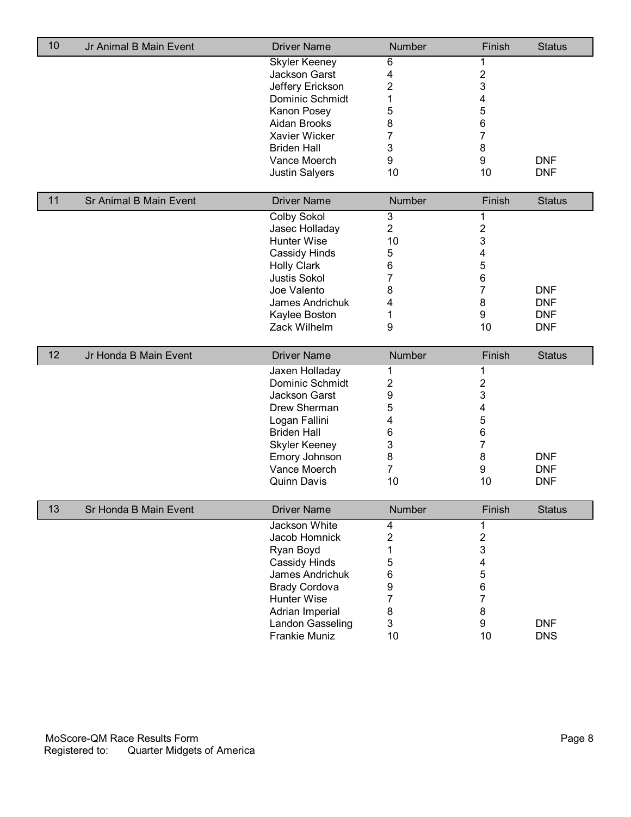| 10 | Jr Animal B Main Event        | <b>Driver Name</b>                  | Number         | Finish                  | <b>Status</b> |
|----|-------------------------------|-------------------------------------|----------------|-------------------------|---------------|
|    |                               | <b>Skyler Keeney</b>                | 6              | 1                       |               |
|    |                               | Jackson Garst                       | 4              | $\mathbf 2$             |               |
|    |                               | Jeffery Erickson                    | $\overline{2}$ | 3                       |               |
|    |                               | Dominic Schmidt                     | 1              | 4                       |               |
|    |                               | Kanon Posey                         | 5              | 5                       |               |
|    |                               | Aidan Brooks                        | 8              | 6                       |               |
|    |                               | Xavier Wicker                       | 7              | $\overline{7}$          |               |
|    |                               | <b>Briden Hall</b>                  | 3              | 8                       |               |
|    |                               | Vance Moerch                        | 9              | 9                       | <b>DNF</b>    |
|    |                               | Justin Salyers                      | 10             | 10                      | <b>DNF</b>    |
|    |                               |                                     |                |                         |               |
| 11 | <b>Sr Animal B Main Event</b> | <b>Driver Name</b>                  | Number         | Finish                  | <b>Status</b> |
|    |                               | <b>Colby Sokol</b>                  | 3              | 1                       |               |
|    |                               | Jasec Holladay                      | $\overline{2}$ | $\overline{\mathbf{c}}$ |               |
|    |                               | Hunter Wise                         | 10             | 3                       |               |
|    |                               | Cassidy Hinds                       | 5              | 4                       |               |
|    |                               | <b>Holly Clark</b>                  | 6              | 5                       |               |
|    |                               | <b>Justis Sokol</b>                 | 7              | 6                       |               |
|    |                               | Joe Valento                         | 8              | $\overline{7}$          | <b>DNF</b>    |
|    |                               | James Andrichuk                     | 4              | 8                       | <b>DNF</b>    |
|    |                               | Kaylee Boston                       | 1              | 9                       | <b>DNF</b>    |
|    |                               | Zack Wilhelm                        | 9              | 10                      | <b>DNF</b>    |
|    |                               |                                     |                |                         |               |
| 12 | Jr Honda B Main Event         | <b>Driver Name</b>                  | Number         | Finish                  | <b>Status</b> |
|    |                               | Jaxen Holladay                      | 1              | 1                       |               |
|    |                               | Dominic Schmidt                     | 2              | $\overline{\mathbf{c}}$ |               |
|    |                               | Jackson Garst                       | 9              | 3                       |               |
|    |                               | Drew Sherman                        | 5              | 4                       |               |
|    |                               | Logan Fallini                       | 4              | 5                       |               |
|    |                               | <b>Briden Hall</b>                  | 6              | 6                       |               |
|    |                               | <b>Skyler Keeney</b>                | 3              | 7                       |               |
|    |                               | Emory Johnson                       | 8              | 8                       | <b>DNF</b>    |
|    |                               | Vance Moerch                        | $\overline{7}$ | 9                       | <b>DNF</b>    |
|    |                               | <b>Quinn Davis</b>                  | 10             | 10                      | <b>DNF</b>    |
| 13 | Sr Honda B Main Event         | <b>Driver Name</b>                  | Number         | Finish                  | <b>Status</b> |
|    |                               | Jackson White                       | 4              | 1                       |               |
|    |                               | Jacob Homnick                       | $\overline{2}$ | $\mathbf 2$             |               |
|    |                               | Ryan Boyd                           | 1              | 3                       |               |
|    |                               | Cassidy Hinds                       | 5              | 4                       |               |
|    |                               | James Andrichuk                     | 6              | 5                       |               |
|    |                               |                                     |                | 6                       |               |
|    |                               | <b>Brady Cordova</b>                | 9<br>7         | 7                       |               |
|    |                               | Hunter Wise                         |                |                         |               |
|    |                               | Adrian Imperial<br>Landon Gasseling | 8<br>3         | 8<br>9                  | <b>DNF</b>    |
|    |                               |                                     |                |                         |               |
|    |                               | Frankie Muniz                       | 10             | 10                      | <b>DNS</b>    |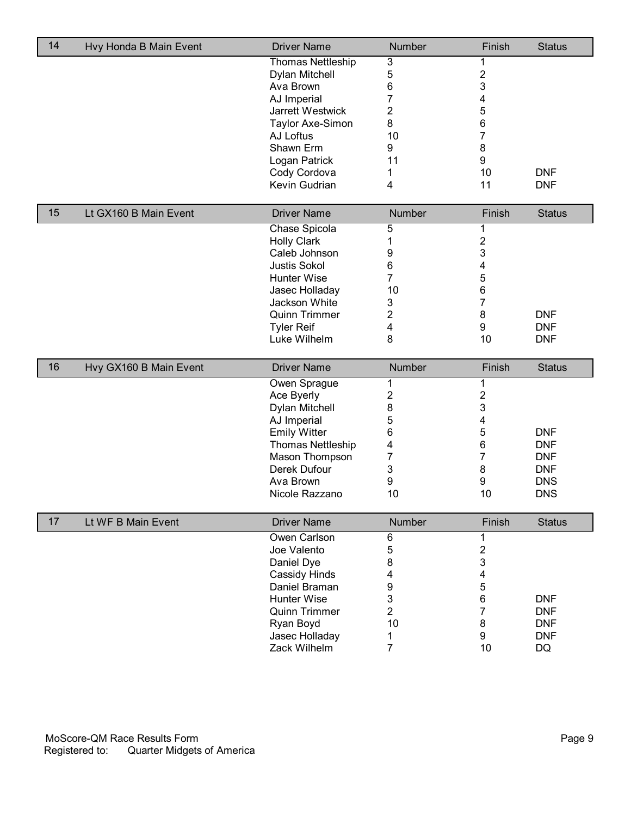| 14 | Hvy Honda B Main Event | <b>Driver Name</b>             | Number | Finish                 | <b>Status</b>    |
|----|------------------------|--------------------------------|--------|------------------------|------------------|
|    |                        | <b>Thomas Nettleship</b>       | 3      | 1                      |                  |
|    |                        | Dylan Mitchell                 | 5      | $\boldsymbol{2}$       |                  |
|    |                        | Ava Brown                      | 6      | 3                      |                  |
|    |                        | AJ Imperial                    | 7      | 4                      |                  |
|    |                        | Jarrett Westwick               | 2      | 5                      |                  |
|    |                        | Taylor Axe-Simon               | 8      | 6                      |                  |
|    |                        | AJ Loftus                      | 10     | $\overline{7}$         |                  |
|    |                        | Shawn Erm                      | 9      | 8                      |                  |
|    |                        | Logan Patrick                  | 11     | 9                      |                  |
|    |                        | Cody Cordova                   | 1      | 10                     | <b>DNF</b>       |
|    |                        | Kevin Gudrian                  | 4      | 11                     | <b>DNF</b>       |
|    |                        |                                |        |                        |                  |
| 15 | Lt GX160 B Main Event  | <b>Driver Name</b>             | Number | Finish                 | <b>Status</b>    |
|    |                        | Chase Spicola                  | 5      | 1                      |                  |
|    |                        | <b>Holly Clark</b>             | 1      | $\mathbf 2$            |                  |
|    |                        | Caleb Johnson                  | 9      | 3                      |                  |
|    |                        | <b>Justis Sokol</b>            | 6      | 4                      |                  |
|    |                        | Hunter Wise                    | 7      | 5                      |                  |
|    |                        | Jasec Holladay                 | 10     | 6                      |                  |
|    |                        | Jackson White                  | 3      | 7                      |                  |
|    |                        | <b>Quinn Trimmer</b>           | 2      | 8                      | <b>DNF</b>       |
|    |                        | <b>Tyler Reif</b>              | 4      | $\boldsymbol{9}$       | <b>DNF</b>       |
|    |                        | Luke Wilhelm                   | 8      | 10                     | <b>DNF</b>       |
|    |                        |                                |        |                        |                  |
|    |                        |                                |        |                        |                  |
| 16 | Hvy GX160 B Main Event | <b>Driver Name</b>             | Number | Finish                 | <b>Status</b>    |
|    |                        | Owen Sprague                   | 1      | 1                      |                  |
|    |                        | Ace Byerly                     | 2      | $\mathbf 2$            |                  |
|    |                        | Dylan Mitchell                 | 8      | 3                      |                  |
|    |                        | AJ Imperial                    | 5      | 4                      |                  |
|    |                        | <b>Emily Witter</b>            | 6      | 5                      | <b>DNF</b>       |
|    |                        | <b>Thomas Nettleship</b>       | 4      | 6                      | <b>DNF</b>       |
|    |                        | Mason Thompson                 | 7      | 7                      | <b>DNF</b>       |
|    |                        | Derek Dufour                   | 3      | 8                      | <b>DNF</b>       |
|    |                        | Ava Brown                      | 9      | 9                      | <b>DNS</b>       |
|    |                        | Nicole Razzano                 | 10     | 10                     | <b>DNS</b>       |
| 17 | Lt WF B Main Event     | <b>Driver Name</b>             | Number | Finish                 | <b>Status</b>    |
|    |                        |                                |        |                        |                  |
|    |                        | Owen Carlson                   | 6      | 1                      |                  |
|    |                        | Joe Valento                    | 5      | $\mathbf 2$            |                  |
|    |                        | Daniel Dye                     | 8      | 3                      |                  |
|    |                        | Cassidy Hinds                  | 4      | 4                      |                  |
|    |                        | Daniel Braman                  | 9      | 5                      |                  |
|    |                        | Hunter Wise                    | 3      | 6                      | <b>DNF</b>       |
|    |                        | <b>Quinn Trimmer</b>           | 2      | 7                      | <b>DNF</b>       |
|    |                        | Ryan Boyd                      | 10     | 8                      | <b>DNF</b>       |
|    |                        | Jasec Holladay<br>Zack Wilhelm | 1<br>7 | $\boldsymbol{9}$<br>10 | <b>DNF</b><br>DQ |

 $\overline{1}$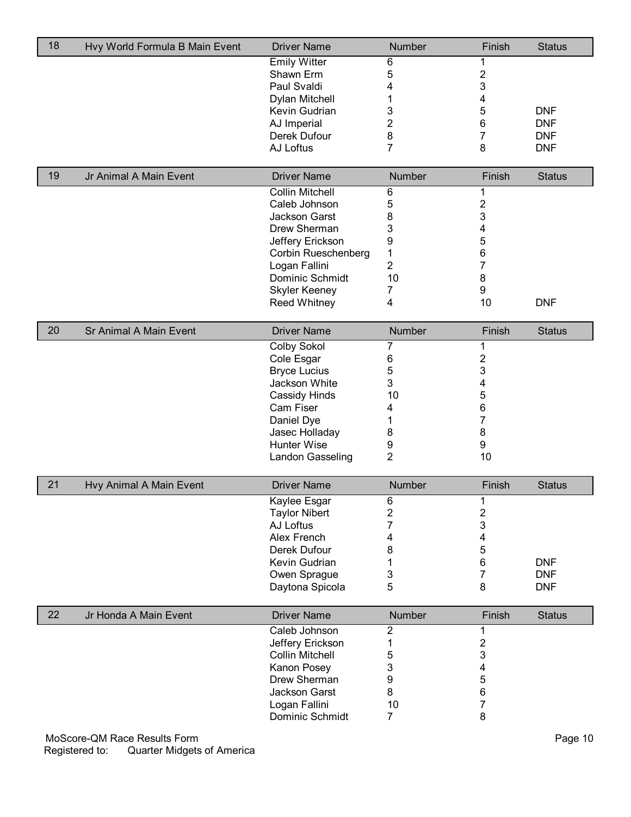| 18 | Hvy World Formula B Main Event | <b>Driver Name</b>                      | Number         | Finish                  | <b>Status</b> |
|----|--------------------------------|-----------------------------------------|----------------|-------------------------|---------------|
|    |                                | <b>Emily Witter</b>                     | 6              |                         |               |
|    |                                | Shawn Erm                               | 5              | $\mathbf{2}$            |               |
|    |                                | Paul Svaldi                             | 4              | 3                       |               |
|    |                                | Dylan Mitchell                          | 1              | 4                       |               |
|    |                                | Kevin Gudrian                           | 3              | 5                       | <b>DNF</b>    |
|    |                                | AJ Imperial                             | $\overline{2}$ | 6                       | <b>DNF</b>    |
|    |                                | Derek Dufour                            | 8              | 7                       | <b>DNF</b>    |
|    |                                | AJ Loftus                               | $\overline{7}$ | 8                       | <b>DNF</b>    |
| 19 | Jr Animal A Main Event         | <b>Driver Name</b>                      | Number         | Finish                  | <b>Status</b> |
|    |                                |                                         |                |                         |               |
|    |                                | <b>Collin Mitchell</b>                  | 6              |                         |               |
|    |                                | Caleb Johnson                           | 5              | 2                       |               |
|    |                                | Jackson Garst<br>Drew Sherman           | 8              | 3                       |               |
|    |                                |                                         | 3              | 4<br>5                  |               |
|    |                                | Jeffery Erickson<br>Corbin Rueschenberg | 9<br>1         | 6                       |               |
|    |                                | Logan Fallini                           | $\overline{2}$ | 7                       |               |
|    |                                | Dominic Schmidt                         | 10             | 8                       |               |
|    |                                |                                         |                | 9                       |               |
|    |                                | <b>Skyler Keeney</b>                    | 7<br>4         | 10                      | <b>DNF</b>    |
|    |                                | <b>Reed Whitney</b>                     |                |                         |               |
| 20 | Sr Animal A Main Event         | <b>Driver Name</b>                      | Number         | Finish                  | <b>Status</b> |
|    |                                | <b>Colby Sokol</b>                      | 7              | 1                       |               |
|    |                                | Cole Esgar                              | 6              | 2                       |               |
|    |                                | <b>Bryce Lucius</b>                     | 5              | 3                       |               |
|    |                                | Jackson White                           | 3              | 4                       |               |
|    |                                | Cassidy Hinds                           | 10             | 5                       |               |
|    |                                | Cam Fiser                               | 4              | 6                       |               |
|    |                                | Daniel Dye                              | 1              | 7                       |               |
|    |                                | Jasec Holladay                          | 8              | 8                       |               |
|    |                                | <b>Hunter Wise</b>                      | 9              | 9                       |               |
|    |                                | Landon Gasseling                        | $\overline{2}$ | 10                      |               |
| 21 | Hvy Animal A Main Event        | <b>Driver Name</b>                      | Number         | Finish                  | <b>Status</b> |
|    |                                | Kaylee Esgar                            | 6              | 1                       |               |
|    |                                | <b>Taylor Nibert</b>                    | 2              | 2                       |               |
|    |                                | AJ Loftus                               | 7              | 3                       |               |
|    |                                | Alex French                             | 4              | 4                       |               |
|    |                                | Derek Dufour                            | 8              | 5                       |               |
|    |                                | Kevin Gudrian                           | 1              | 6                       | <b>DNF</b>    |
|    |                                | Owen Sprague                            | 3              | 7                       | <b>DNF</b>    |
|    |                                | Daytona Spicola                         | 5              | 8                       | <b>DNF</b>    |
| 22 | Jr Honda A Main Event          | <b>Driver Name</b>                      | <b>Number</b>  | Finish                  | <b>Status</b> |
|    |                                | Caleb Johnson                           | $\overline{2}$ | 1                       |               |
|    |                                | Jeffery Erickson                        | 1              | $\overline{\mathbf{c}}$ |               |
|    |                                | <b>Collin Mitchell</b>                  | 5              | 3                       |               |
|    |                                | Kanon Posey                             | 3              | 4                       |               |
|    |                                | Drew Sherman                            | 9              | 5                       |               |
|    |                                | Jackson Garst                           | 8              | 6                       |               |
|    |                                | Logan Fallini                           | 10             | 7                       |               |
|    |                                | Dominic Schmidt                         | $\overline{7}$ | 8                       |               |
|    |                                |                                         |                |                         |               |

MoScore-QM Race Results Form Page 10 Registered to: Quarter Midgets of America

 $\overline{\phantom{a}}$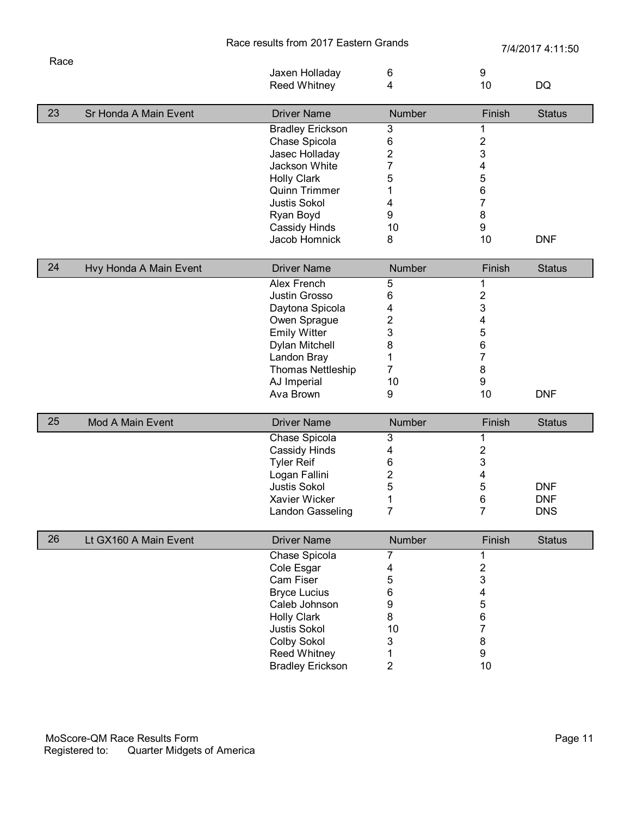| Race results from 2017 Eastern Grands |  |  |
|---------------------------------------|--|--|
|---------------------------------------|--|--|

ds<br>
2/4/2017 4:11:50

|    |                        | Jaxen Holladay           | 6              | 9<br>10                 |               |
|----|------------------------|--------------------------|----------------|-------------------------|---------------|
|    |                        | <b>Reed Whitney</b>      | 4              |                         | DQ            |
| 23 | Sr Honda A Main Event  | <b>Driver Name</b>       | <b>Number</b>  | Finish                  | <b>Status</b> |
|    |                        | <b>Bradley Erickson</b>  | 3              | 1                       |               |
|    |                        | Chase Spicola            | 6              | $\overline{\mathbf{c}}$ |               |
|    |                        | Jasec Holladay           | 2              | 3                       |               |
|    |                        | Jackson White            | 7              | 4                       |               |
|    |                        | <b>Holly Clark</b>       | 5              | 5                       |               |
|    |                        | <b>Quinn Trimmer</b>     | 1              | 6                       |               |
|    |                        | <b>Justis Sokol</b>      | 4              | 7                       |               |
|    |                        | Ryan Boyd                | 9              | 8                       |               |
|    |                        | Cassidy Hinds            | 10             | 9                       |               |
|    |                        | Jacob Homnick            | 8              | 10                      | <b>DNF</b>    |
| 24 | Hvy Honda A Main Event | <b>Driver Name</b>       | Number         | Finish                  | <b>Status</b> |
|    |                        | <b>Alex French</b>       | 5              | 1                       |               |
|    |                        | Justin Grosso            | 6              | 2                       |               |
|    |                        | Daytona Spicola          | 4              | 3                       |               |
|    |                        | Owen Sprague             | 2              | 4                       |               |
|    |                        | <b>Emily Witter</b>      | 3              | 5                       |               |
|    |                        | Dylan Mitchell           | 8              | 6                       |               |
|    |                        | Landon Bray              | 1              | 7                       |               |
|    |                        | <b>Thomas Nettleship</b> | 7              | 8                       |               |
|    |                        | AJ Imperial              | 10             | 9                       |               |
|    |                        | Ava Brown                | 9              | 10                      | <b>DNF</b>    |
| 25 | Mod A Main Event       | <b>Driver Name</b>       | Number         | Finish                  | <b>Status</b> |
|    |                        | Chase Spicola            | 3              | 1                       |               |
|    |                        | Cassidy Hinds            | 4              | 2                       |               |
|    |                        | <b>Tyler Reif</b>        | 6              | 3                       |               |
|    |                        | Logan Fallini            | 2              | 4                       |               |
|    |                        | <b>Justis Sokol</b>      | 5              | 5                       | <b>DNF</b>    |
|    |                        | Xavier Wicker            | 1              | 6                       | <b>DNF</b>    |
|    |                        | Landon Gasseling         | 7              | 7                       | <b>DNS</b>    |
| 26 | Lt GX160 A Main Event  | <b>Driver Name</b>       | Number         | Finish                  | <b>Status</b> |
|    |                        | Chase Spicola            | 7              | 1                       |               |
|    |                        | Cole Esgar               | 4              | $\overline{\mathbf{c}}$ |               |
|    |                        | Cam Fiser                | 5              | 3                       |               |
|    |                        | <b>Bryce Lucius</b>      | 6              | 4                       |               |
|    |                        | Caleb Johnson            | 9              | 5                       |               |
|    |                        | <b>Holly Clark</b>       | 8              | 6                       |               |
|    |                        | Justis Sokol             | 10             | 7                       |               |
|    |                        | Colby Sokol              | 3              | 8                       |               |
|    |                        | <b>Reed Whitney</b>      | 1              | 9                       |               |
|    |                        | <b>Bradley Erickson</b>  | $\overline{2}$ | 10                      |               |

Race